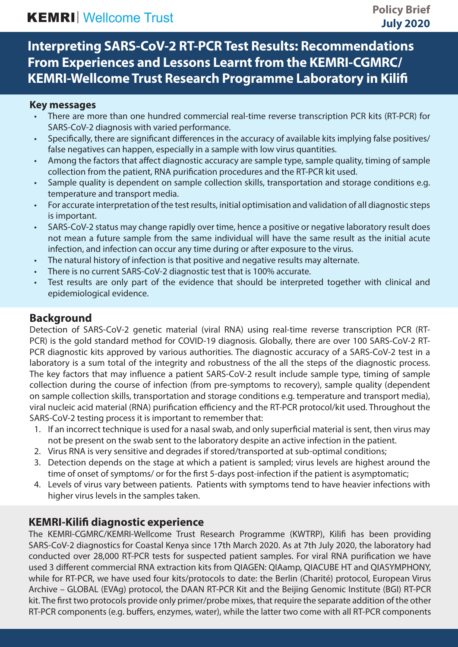# **KEMRI** Wellcome Trust

# **Interpreting SARS-CoV-2 RT-PCR Test Results: Recommendations From Experiences and Lessons Learnt from the KEMRI-CGMRC/ KEMRI-Wellcome Trust Research Programme Laboratory in Kilifi**

#### **Key messages**

- There are more than one hundred commercial real-time reverse transcription PCR kits (RT-PCR) for SARS-CoV-2 diagnosis with varied performance.
- Specifically, there are significant differences in the accuracy of available kits implying false positives/ false negatives can happen, especially in a sample with low virus quantities.
- Among the factors that affect diagnostic accuracy are sample type, sample quality, timing of sample collection from the patient, RNA purification procedures and the RT-PCR kit used.
- Sample quality is dependent on sample collection skills, transportation and storage conditions e.g. temperature and transport media.
- For accurate interpretation of the test results, initial optimisation and validation of all diagnostic steps is important.
- SARS-CoV-2 status may change rapidly over time, hence a positive or negative laboratory result does not mean a future sample from the same individual will have the same result as the initial acute infection, and infection can occur any time during or after exposure to the virus.
- The natural history of infection is that positive and negative results may alternate.
- There is no current SARS-CoV-2 diagnostic test that is 100% accurate.
- Test results are only part of the evidence that should be interpreted together with clinical and epidemiological evidence.

### **Background**

Detection of SARS-CoV-2 genetic material (viral RNA) using real-time reverse transcription PCR (RT-PCR) is the gold standard method for COVID-19 diagnosis. Globally, there are over 100 SARS-CoV-2 RT-PCR diagnostic kits approved by various authorities. The diagnostic accuracy of a SARS-CoV-2 test in a laboratory is a sum total of the integrity and robustness of the all the steps of the diagnostic process. The key factors that may influence a patient SARS-CoV-2 result include sample type, timing of sample collection during the course of infection (from pre-symptoms to recovery), sample quality (dependent on sample collection skills, transportation and storage conditions e.g. temperature and transport media), viral nucleic acid material (RNA) purification efficiency and the RT-PCR protocol/kit used. Throughout the SARS-CoV-2 testing process it is important to remember that:

- 1. If an incorrect technique is used for a nasal swab, and only superficial material is sent, then virus may not be present on the swab sent to the laboratory despite an active infection in the patient.
- 2. Virus RNA is very sensitive and degrades if stored/transported at sub-optimal conditions;
- 3. Detection depends on the stage at which a patient is sampled; virus levels are highest around the time of onset of symptoms/ or for the first 5-days post-infection if the patient is asymptomatic;
- 4. Levels of virus vary between patients. Patients with symptoms tend to have heavier infections with higher virus levels in the samples taken.

## **KEMRI-Kilifi diagnostic experience**

The KEMRI-CGMRC/KEMRI-Wellcome Trust Research Programme (KWTRP), Kilifi has been providing SARS-CoV-2 diagnostics for Coastal Kenya since 17th March 2020. As at 7th July 2020, the laboratory had conducted over 28,000 RT-PCR tests for suspected patient samples. For viral RNA purification we have used 3 different commercial RNA extraction kits from QIAGEN: QIAamp, QIACUBE HT and QIASYMPHONY, while for RT-PCR, we have used four kits/protocols to date: the Berlin (Charité) protocol, European Virus Archive – GLOBAL (EVAg) protocol, the DAAN RT-PCR Kit and the Beijing Genomic Institute (BGI) RT-PCR kit. The first two protocols provide only primer/probe mixes, that require the separate addition of the other RT-PCR components (e.g. buffers, enzymes, water), while the latter two come with all RT-PCR components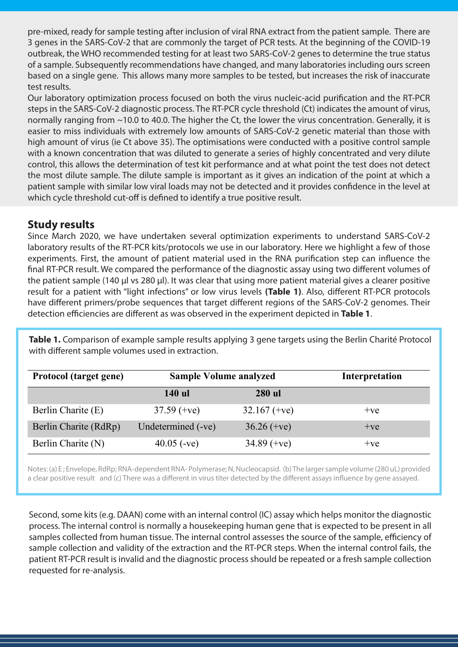pre-mixed, ready for sample testing after inclusion of viral RNA extract from the patient sample. There are 3 genes in the SARS-CoV-2 that are commonly the target of PCR tests. At the beginning of the COVID-19 outbreak, the WHO recommended testing for at least two SARS-CoV-2 genes to determine the true status of a sample. Subsequently recommendations have changed, and many laboratories including ours screen based on a single gene. This allows many more samples to be tested, but increases the risk of inaccurate test results.

Our laboratory optimization process focused on both the virus nucleic-acid purification and the RT-PCR steps in the SARS-CoV-2 diagnostic process. The RT-PCR cycle threshold (Ct) indicates the amount of virus, normally ranging from ~10.0 to 40.0. The higher the Ct, the lower the virus concentration. Generally, it is easier to miss individuals with extremely low amounts of SARS-CoV-2 genetic material than those with high amount of virus (ie Ct above 35). The optimisations were conducted with a positive control sample with a known concentration that was diluted to generate a series of highly concentrated and very dilute control, this allows the determination of test kit performance and at what point the test does not detect the most dilute sample. The dilute sample is important as it gives an indication of the point at which a patient sample with similar low viral loads may not be detected and it provides confidence in the level at which cycle threshold cut-off is defined to identify a true positive result.

## **Study results**

Since March 2020, we have undertaken several optimization experiments to understand SARS-CoV-2 laboratory results of the RT-PCR kits/protocols we use in our laboratory. Here we highlight a few of those experiments. First, the amount of patient material used in the RNA purification step can influence the final RT-PCR result. We compared the performance of the diagnostic assay using two different volumes of the patient sample (140 µl vs 280 µl). It was clear that using more patient material gives a clearer positive result for a patient with "light infections" or low virus levels **(Table 1)**. Also, different RT-PCR protocols have different primers/probe sequences that target different regions of the SARS-CoV-2 genomes. Their detection efficiencies are different as was observed in the experiment depicted in **Table 1**.

**Table 1.** Comparison of example sample results applying 3 gene targets using the Berlin Charité Protocol with different sample volumes used in extraction.

| <b>Protocol (target gene)</b> | <b>Sample Volume analyzed</b> |                | Interpretation |
|-------------------------------|-------------------------------|----------------|----------------|
|                               | <b>140 ul</b>                 | <b>280 ul</b>  |                |
| Berlin Charite (E)            | $37.59$ (+ve)                 | $32.167$ (+ve) | $+ve$          |
| Berlin Charite (RdRp)         | Undetermined (-ve)            | $36.26$ (+ve)  | $+ve$          |
| Berlin Charite (N)            | $40.05$ (-ve)                 | $34.89$ (+ve)  | $+ve$          |

Notes: (a) E ; Envelope, RdRp; RNA-dependent RNA- Polymerase; N, Nucleocapsid. (b) The larger sample volume (280 uL) provided a clear positive result and (c) There was a different in virus titer detected by the different assays influence by gene assayed.

Second, some kits (e.g. DAAN) come with an internal control (IC) assay which helps monitor the diagnostic process. The internal control is normally a housekeeping human gene that is expected to be present in all samples collected from human tissue. The internal control assesses the source of the sample, efficiency of sample collection and validity of the extraction and the RT-PCR steps. When the internal control fails, the patient RT-PCR result is invalid and the diagnostic process should be repeated or a fresh sample collection requested for re-analysis.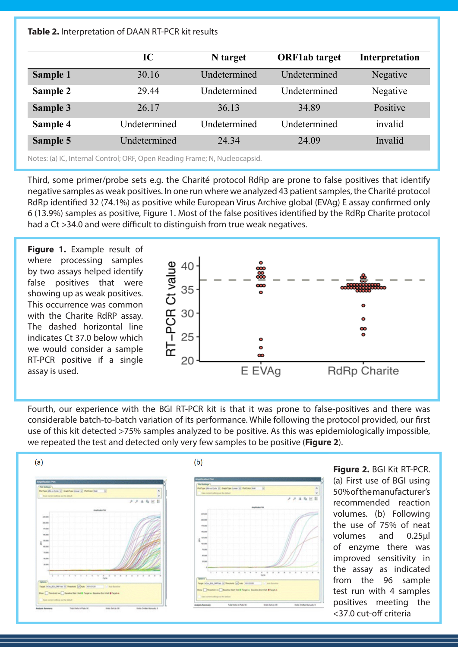#### **Table 2.** Interpretation of DAAN RT-PCR kit results

| Undetermined<br>Sample 1<br>30.16        | Undetermined |          |
|------------------------------------------|--------------|----------|
|                                          |              | Negative |
| 29.44<br>Undetermined<br>Sample 2        | Undetermined | Negative |
| 36.13<br>Sample 3<br>26.17               | 34.89        | Positive |
| Undetermined<br>Undetermined<br>Sample 4 | Undetermined | invalid  |
| Undetermined<br>Sample 5<br>24.34        | 24.09        | Invalid  |

Notes: (a) IC, Internal Control; ORF, Open Reading Frame; N, Nucleocapsid.

Third, some primer/probe sets e.g. the Charité protocol RdRp are prone to false positives that identify negative samples as weak positives. In one run where we analyzed 43 patient samples, the Charité protocol RdRp identified 32 (74.1%) as positive while European Virus Archive global (EVAg) E assay confirmed only 6 (13.9%) samples as positive, Figure 1. Most of the false positives identified by the RdRp Charite protocol had a Ct >34.0 and were difficult to distinguish from true weak negatives.

**Figure 1.** Example result of where processing samples by two assays helped identify false positives that were showing up as weak positives. This occurrence was common with the Charite RdRP assay. The dashed horizontal line indicates Ct 37.0 below which we would consider a sample RT-PCR positive if a single assay is used.

 $(a)$ 



Fourth, our experience with the BGI RT-PCR kit is that it was prone to false-positives and there was considerable batch-to-batch variation of its performance. While following the protocol provided, our first use of this kit detected >75% samples analyzed to be positive. As this was epidemiologically impossible, we repeated the test and detected only very few samples to be positive (**Figure 2**).

| ngéhi salah phing                                                                                                                                                                                                                    |                                      |
|--------------------------------------------------------------------------------------------------------------------------------------------------------------------------------------------------------------------------------------|--------------------------------------|
| For belongs                                                                                                                                                                                                                          |                                      |
| Portlan allow cubs 10 Great fax Linear 10, Portland trust<br>Two nation subsige as the details                                                                                                                                       |                                      |
|                                                                                                                                                                                                                                      | メタ a 与 区 目                           |
| <b><i><i><u><b>SupProduct Pat</b></u></i></i></b>                                                                                                                                                                                    |                                      |
| DOM:                                                                                                                                                                                                                                 |                                      |
| 245,660                                                                                                                                                                                                                              |                                      |
| 170,000                                                                                                                                                                                                                              |                                      |
|                                                                                                                                                                                                                                      |                                      |
| <b>HEAR</b>                                                                                                                                                                                                                          |                                      |
| <b>CALANS</b>                                                                                                                                                                                                                        |                                      |
| 16,040                                                                                                                                                                                                                               |                                      |
| 10,444                                                                                                                                                                                                                               |                                      |
| 45, 644                                                                                                                                                                                                                              |                                      |
| 81, 844                                                                                                                                                                                                                              |                                      |
|                                                                                                                                                                                                                                      |                                      |
| 11111<br>.<br>٠<br><b>Gove</b>                                                                                                                                                                                                       | ٠<br>$\overline{a}$<br>$-$<br>٠<br>× |
| Options.                                                                                                                                                                                                                             |                                      |
| Target India, 600 Literature by Theoreman DePlayer, 1971-01038<br>C. Adv Render                                                                                                                                                      |                                      |
| <b>Show Construction Construction that Notified Topical Register Constitution of the Construction Constitution of the Constitution Constitution of the Constitution Constitution of the Constitution Constitution of the Constit</b> |                                      |
| have noted nethnigs as the default                                                                                                                                                                                                   |                                      |

 $(b)$ 

| gehiaton Pot                                                 |                                                                                 |       |
|--------------------------------------------------------------|---------------------------------------------------------------------------------|-------|
| Par listings                                                 |                                                                                 |       |
| Pid Tape john at Cycle 141 Great Tape Lowar 141 Photographed | ×                                                                               | ×     |
| East const onlings as he defect                              |                                                                                 |       |
|                                                              |                                                                                 | 产品取区目 |
|                                                              |                                                                                 |       |
|                                                              | <b>Angelic about Pak</b>                                                        |       |
|                                                              |                                                                                 |       |
| <b>UKAN</b>                                                  |                                                                                 |       |
| <b>SKAN</b>                                                  |                                                                                 |       |
| 170,000                                                      |                                                                                 |       |
|                                                              |                                                                                 |       |
| 46.84                                                        |                                                                                 |       |
| 125,650                                                      |                                                                                 |       |
|                                                              |                                                                                 |       |
| 12, 225                                                      |                                                                                 |       |
| to page                                                      |                                                                                 |       |
| \$1,600                                                      |                                                                                 |       |
|                                                              |                                                                                 |       |
| mas                                                          |                                                                                 |       |
| a1                                                           |                                                                                 |       |
| $\overline{a}$<br>$-1$<br>x<br>z                             | s<br>篆<br>u<br>×<br>×<br>×<br>×                                                 | ×     |
|                                                              | Carlos                                                                          |       |
| <b>Options</b>                                               |                                                                                 |       |
| Target information (Management Corp.de 141-4212)             | <b>An Issues</b>                                                                |       |
|                                                              | those <b>Constitution</b> Theorem that mank furget a deservative man Bringer as |       |
|                                                              |                                                                                 |       |

**Figure 2.** BGI Kit RT-PCR. (a) First use of BGI using 50% of the manufacturer's recommended reaction volumes. (b) Following the use of 75% of neat volumes and 0.25µl of enzyme there was improved sensitivity in the assay as indicated from the 96 sample test run with 4 samples positives meeting the <37.0 cut-off criteria